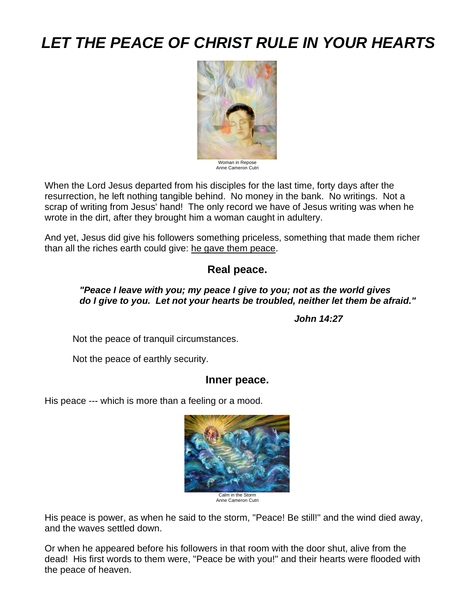# *LET THE PEACE OF CHRIST RULE IN YOUR HEARTS*



Woman in Repose Anne Cameron Cutri

When the Lord Jesus departed from his disciples for the last time, forty days after the resurrection, he left nothing tangible behind. No money in the bank. No writings. Not a scrap of writing from Jesus' hand! The only record we have of Jesus writing was when he wrote in the dirt, after they brought him a woman caught in adultery.

And yet, Jesus did give his followers something priceless, something that made them richer than all the riches earth could give: he gave them peace.

# **Real peace.**

#### *"Peace I leave with you; my peace I give to you; not as the world gives do I give to you. Let not your hearts be troubled, neither let them be afraid."*

 *John 14:27*

Not the peace of tranquil circumstances.

Not the peace of earthly security.

## **Inner peace.**

His peace --- which is more than a feeling or a mood.



Anne Cameron Cutri

His peace is power, as when he said to the storm, "Peace! Be still!" and the wind died away, and the waves settled down.

Or when he appeared before his followers in that room with the door shut, alive from the dead! His first words to them were, "Peace be with you!" and their hearts were flooded with the peace of heaven.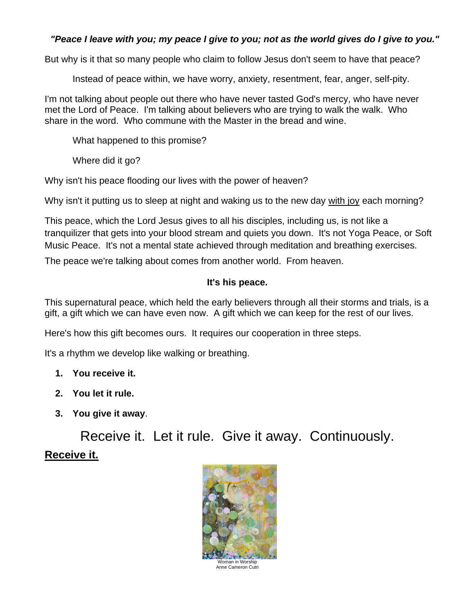## *"Peace I leave with you; my peace I give to you; not as the world gives do I give to you."*

But why is it that so many people who claim to follow Jesus don't seem to have that peace?

Instead of peace within, we have worry, anxiety, resentment, fear, anger, self-pity.

I'm not talking about people out there who have never tasted God's mercy, who have never met the Lord of Peace. I'm talking about believers who are trying to walk the walk. Who share in the word. Who commune with the Master in the bread and wine.

What happened to this promise?

Where did it go?

Why isn't his peace flooding our lives with the power of heaven?

Why isn't it putting us to sleep at night and waking us to the new day with joy each morning?

This peace, which the Lord Jesus gives to all his disciples, including us, is not like a tranquilizer that gets into your blood stream and quiets you down. It's not Yoga Peace, or Soft Music Peace. It's not a mental state achieved through meditation and breathing exercises.

The peace we're talking about comes from another world. From heaven.

#### **It's his peace.**

This supernatural peace, which held the early believers through all their storms and trials, is a gift, a gift which we can have even now. A gift which we can keep for the rest of our lives.

Here's how this gift becomes ours. It requires our cooperation in three steps.

It's a rhythm we develop like walking or breathing.

- **1. You receive it.**
- **2. You let it rule.**
- **3. You give it away**.

Receive it. Let it rule. Give it away. Continuously. **Receive it.**

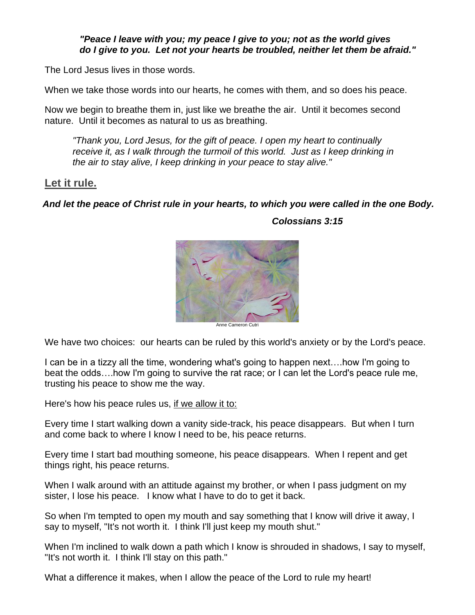#### *"Peace I leave with you; my peace I give to you; not as the world gives do I give to you. Let not your hearts be troubled, neither let them be afraid."*

The Lord Jesus lives in those words.

When we take those words into our hearts, he comes with them, and so does his peace.

Now we begin to breathe them in, just like we breathe the air. Until it becomes second nature. Until it becomes as natural to us as breathing.

*"Thank you, Lord Jesus, for the gift of peace. I open my heart to continually receive it, as I walk through the turmoil of this world. Just as I keep drinking in the air to stay alive, I keep drinking in your peace to stay alive."*

### **Let it rule.**

*And let the peace of Christ rule in your hearts, to which you were called in the one Body.*



*Colossians 3:15*

We have two choices: our hearts can be ruled by this world's anxiety or by the Lord's peace.

I can be in a tizzy all the time, wondering what's going to happen next….how I'm going to beat the odds….how I'm going to survive the rat race; or I can let the Lord's peace rule me, trusting his peace to show me the way.

Here's how his peace rules us, if we allow it to:

Every time I start walking down a vanity side-track, his peace disappears. But when I turn and come back to where I know I need to be, his peace returns.

Every time I start bad mouthing someone, his peace disappears. When I repent and get things right, his peace returns.

When I walk around with an attitude against my brother, or when I pass judgment on my sister, I lose his peace. I know what I have to do to get it back.

So when I'm tempted to open my mouth and say something that I know will drive it away, I say to myself, "It's not worth it. I think I'll just keep my mouth shut."

When I'm inclined to walk down a path which I know is shrouded in shadows, I say to myself, "It's not worth it. I think I'll stay on this path."

What a difference it makes, when I allow the peace of the Lord to rule my heart!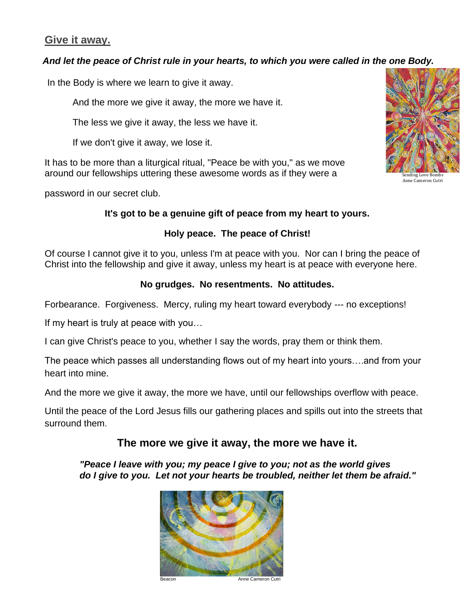# **Give it away.**

### *And let the peace of Christ rule in your hearts, to which you were called in the one Body.*

In the Body is where we learn to give it away.

And the more we give it away, the more we have it.

The less we give it away, the less we have it.

If we don't give it away, we lose it.

It has to be more than a liturgical ritual, "Peace be with you," as we move around our fellowships uttering these awesome words as if they were a

password in our secret club.

# **It's got to be a genuine gift of peace from my heart to yours.**

# **Holy peace. The peace of Christ!**

Of course I cannot give it to you, unless I'm at peace with you. Nor can I bring the peace of Christ into the fellowship and give it away, unless my heart is at peace with everyone here.

## **No grudges. No resentments. No attitudes.**

Forbearance. Forgiveness. Mercy, ruling my heart toward everybody --- no exceptions!

If my heart is truly at peace with you…

I can give Christ's peace to you, whether I say the words, pray them or think them.

The peace which passes all understanding flows out of my heart into yours….and from your heart into mine.

And the more we give it away, the more we have, until our fellowships overflow with peace.

Until the peace of the Lord Jesus fills our gathering places and spills out into the streets that surround them.

# **The more we give it away, the more we have it.**

*"Peace I leave with you; my peace I give to you; not as the world gives do I give to you. Let not your hearts be troubled, neither let them be afraid."*